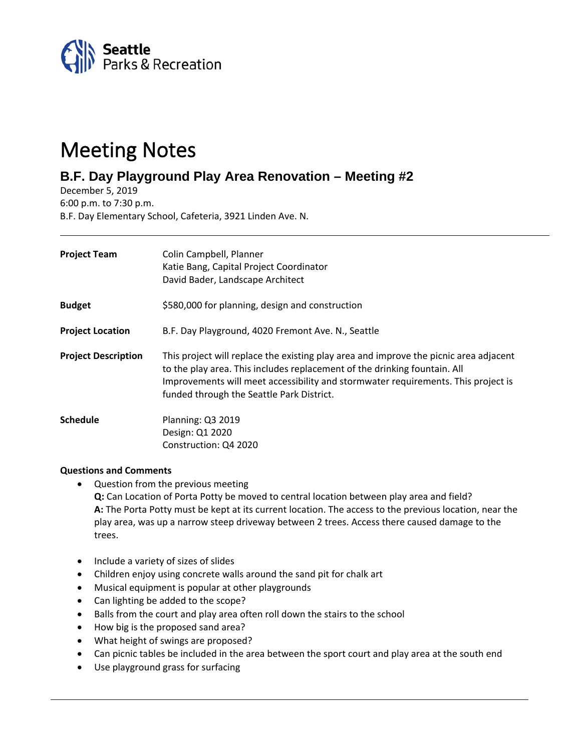

## Meeting Notes

## **B.F. Day Playground Play Area Renovation – Meeting #2**

December 5, 2019 6:00 p.m. to 7:30 p.m. B.F. Day Elementary School, Cafeteria, 3921 Linden Ave. N.

| <b>Project Team</b>        | Colin Campbell, Planner<br>Katie Bang, Capital Project Coordinator<br>David Bader, Landscape Architect                                                                                                                                                                                               |
|----------------------------|------------------------------------------------------------------------------------------------------------------------------------------------------------------------------------------------------------------------------------------------------------------------------------------------------|
| <b>Budget</b>              | \$580,000 for planning, design and construction                                                                                                                                                                                                                                                      |
| <b>Project Location</b>    | B.F. Day Playground, 4020 Fremont Ave. N., Seattle                                                                                                                                                                                                                                                   |
| <b>Project Description</b> | This project will replace the existing play area and improve the picnic area adjacent<br>to the play area. This includes replacement of the drinking fountain. All<br>Improvements will meet accessibility and stormwater requirements. This project is<br>funded through the Seattle Park District. |
| Schedule                   | Planning: Q3 2019<br>Design: Q1 2020<br>Construction: Q4 2020                                                                                                                                                                                                                                        |

## **Questions and Comments**

• Question from the previous meeting

**Q:** Can Location of Porta Potty be moved to central location between play area and field? **A:** The Porta Potty must be kept at its current location. The access to the previous location, near the play area, was up a narrow steep driveway between 2 trees. Access there caused damage to the trees.

- Include a variety of sizes of slides
- Children enjoy using concrete walls around the sand pit for chalk art
- Musical equipment is popular at other playgrounds
- Can lighting be added to the scope?
- Balls from the court and play area often roll down the stairs to the school
- How big is the proposed sand area?
- What height of swings are proposed?
- Can picnic tables be included in the area between the sport court and play area at the south end
- Use playground grass for surfacing